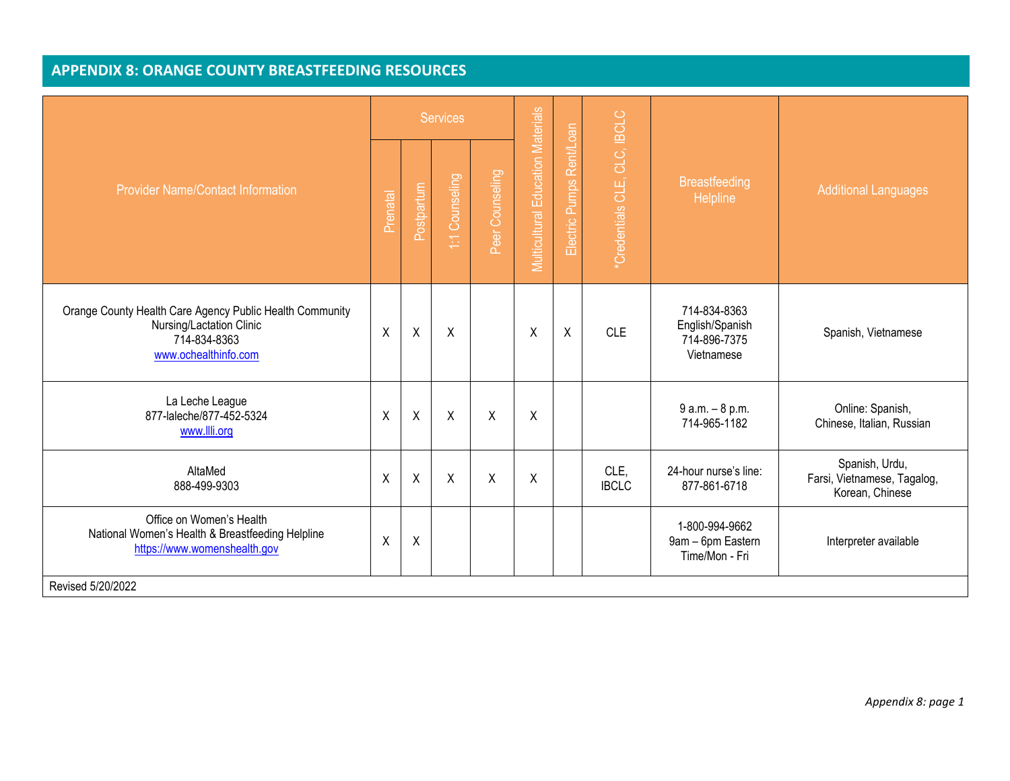| <b>Provider Name/Contact Information</b>                                                                                     |         | <b>Services</b> |                 |                 |                                   |                             |                              |                                                               |                                                                  |
|------------------------------------------------------------------------------------------------------------------------------|---------|-----------------|-----------------|-----------------|-----------------------------------|-----------------------------|------------------------------|---------------------------------------------------------------|------------------------------------------------------------------|
|                                                                                                                              |         | Postpartum      | Counseling<br>E | Peer Counseling | Multicultural Education Materials | Rent/Loan<br>Electric Pumps | *Credentials CLE, CLC, IBCLC | <b>Breastfeeding</b><br>Helpline                              | <b>Additional Languages</b>                                      |
| Orange County Health Care Agency Public Health Community<br>Nursing/Lactation Clinic<br>714-834-8363<br>www.ochealthinfo.com | $\sf X$ | $\sf X$         | X               |                 | X                                 | $\pmb{\mathsf{X}}$          | <b>CLE</b>                   | 714-834-8363<br>English/Spanish<br>714-896-7375<br>Vietnamese | Spanish, Vietnamese                                              |
| La Leche League<br>877-laleche/877-452-5324<br>www.llli.org                                                                  | $\sf X$ | $\mathsf{X}$    | X               | X               | X                                 |                             |                              | $9 a.m. - 8 p.m.$<br>714-965-1182                             | Online: Spanish,<br>Chinese, Italian, Russian                    |
| AltaMed<br>888-499-9303                                                                                                      | $\sf X$ | $\mathsf{X}$    | $\mathsf{X}$    | $\sf X$         | $\sf X$                           |                             | CLE.<br><b>IBCLC</b>         | 24-hour nurse's line:<br>877-861-6718                         | Spanish, Urdu,<br>Farsi, Vietnamese, Tagalog,<br>Korean, Chinese |
| Office on Women's Health<br>National Women's Health & Breastfeeding Helpline<br>https://www.womenshealth.gov                 | $\sf X$ | $\sf X$         |                 |                 |                                   |                             |                              | 1-800-994-9662<br>9am - 6pm Eastern<br>Time/Mon - Fri         | Interpreter available                                            |
| Revised 5/20/2022                                                                                                            |         |                 |                 |                 |                                   |                             |                              |                                                               |                                                                  |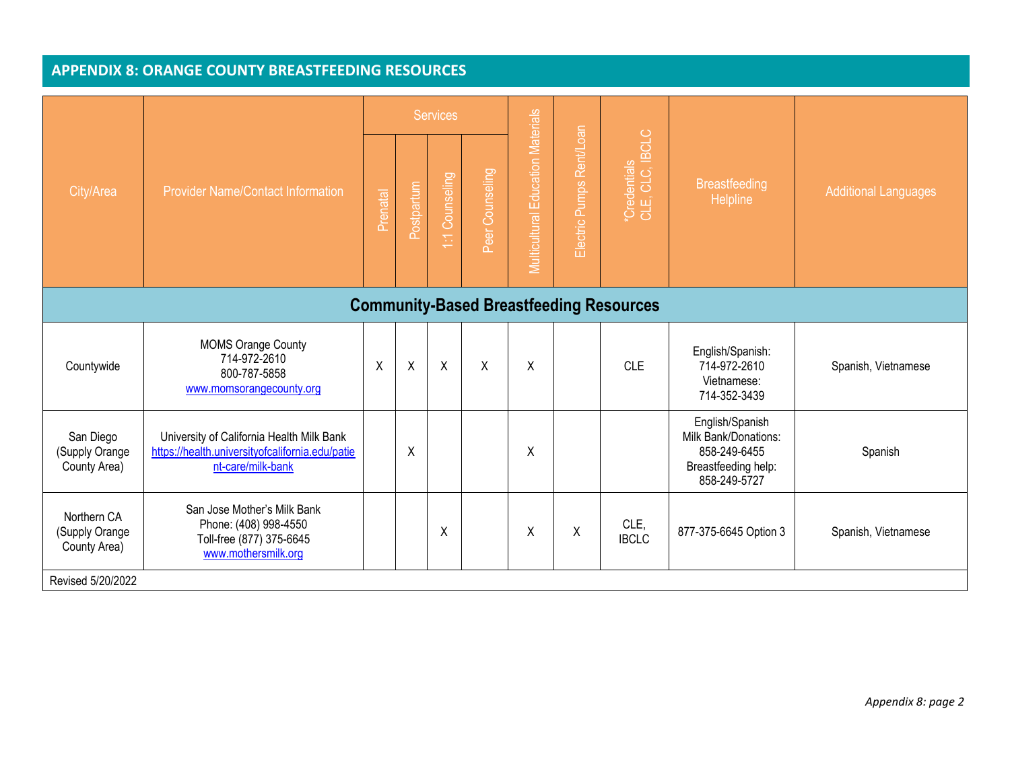|                                                | <b>Provider Name/Contact Information</b>                                                                          | <b>Services</b> |            |                |                 |                                   |                          |                                 |                                                                                                |                             |
|------------------------------------------------|-------------------------------------------------------------------------------------------------------------------|-----------------|------------|----------------|-----------------|-----------------------------------|--------------------------|---------------------------------|------------------------------------------------------------------------------------------------|-----------------------------|
| City/Area                                      |                                                                                                                   | Prenatal        | Postpartum | 1:1 Counseling | Peer Counseling | Multicultural Education Materials | Electric Pumps Rent/Loan | *Credentials<br>CLE, CLC, IBCLC | <b>Breastfeeding</b><br><b>Helpline</b>                                                        | <b>Additional Languages</b> |
| <b>Community-Based Breastfeeding Resources</b> |                                                                                                                   |                 |            |                |                 |                                   |                          |                                 |                                                                                                |                             |
| Countywide                                     | <b>MOMS Orange County</b><br>714-972-2610<br>800-787-5858<br>www.momsorangecounty.org                             | X               | Χ          | $\sf X$        | $\sf X$         | X                                 |                          | <b>CLE</b>                      | English/Spanish:<br>714-972-2610<br>Vietnamese:<br>714-352-3439                                | Spanish, Vietnamese         |
| San Diego<br>(Supply Orange<br>County Area)    | University of California Health Milk Bank<br>https://health.universityofcalifornia.edu/patie<br>nt-care/milk-bank |                 | Χ          |                |                 | Χ                                 |                          |                                 | English/Spanish<br>Milk Bank/Donations:<br>858-249-6455<br>Breastfeeding help:<br>858-249-5727 | Spanish                     |
| Northern CA<br>(Supply Orange<br>County Area)  | San Jose Mother's Milk Bank<br>Phone: (408) 998-4550<br>Toll-free (877) 375-6645<br>www.mothersmilk.org           |                 |            | X              |                 | Χ                                 | Χ                        | CLE,<br><b>IBCLC</b>            | 877-375-6645 Option 3                                                                          | Spanish, Vietnamese         |
| Revised 5/20/2022                              |                                                                                                                   |                 |            |                |                 |                                   |                          |                                 |                                                                                                |                             |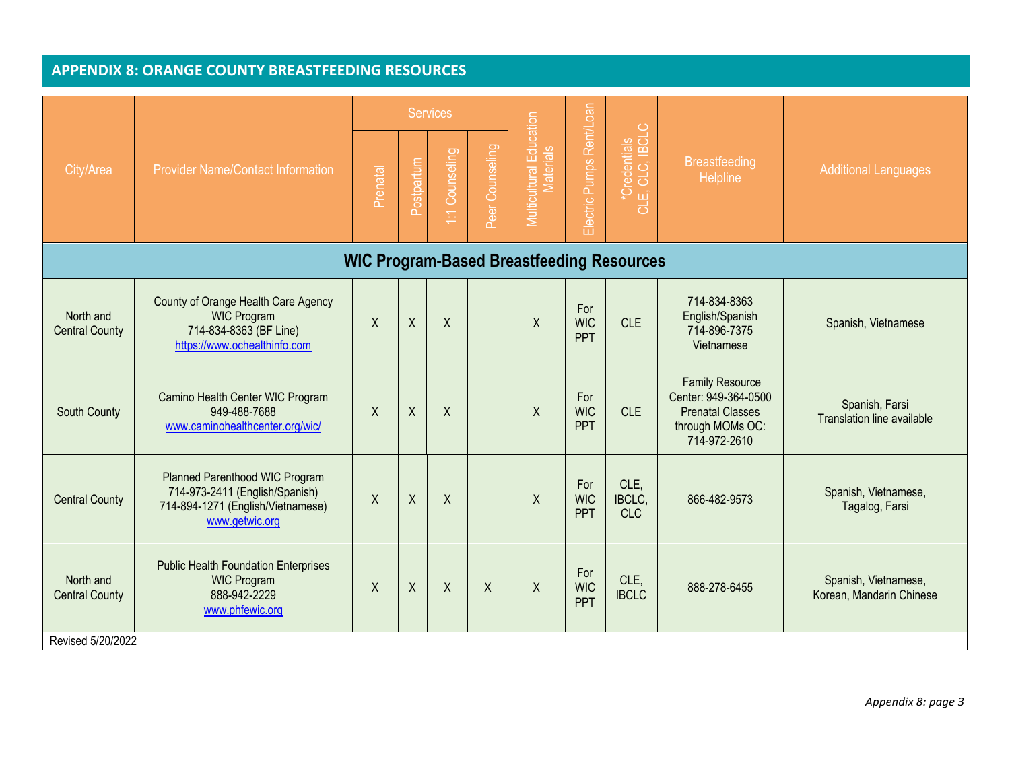|                                                  | <b>Provider Name/Contact Information</b>                                                                                |          |              | <b>Services</b>  |                 |                                             | Electric Pumps Rent/Loan        | $\circ$<br>*Credentials<br>-E, CLC, IBCLC<br>긍 | <b>Breastfeeding</b><br><b>Helpline</b>                                                                       | <b>Additional Languages</b>                         |  |  |
|--------------------------------------------------|-------------------------------------------------------------------------------------------------------------------------|----------|--------------|------------------|-----------------|---------------------------------------------|---------------------------------|------------------------------------------------|---------------------------------------------------------------------------------------------------------------|-----------------------------------------------------|--|--|
| City/Area                                        |                                                                                                                         | Prenatal | Postpartum   | 1:1 Counseling   | Peer Counseling | Multicultural Education<br><b>Materials</b> |                                 |                                                |                                                                                                               |                                                     |  |  |
| <b>WIC Program-Based Breastfeeding Resources</b> |                                                                                                                         |          |              |                  |                 |                                             |                                 |                                                |                                                                                                               |                                                     |  |  |
| North and<br><b>Central County</b>               | County of Orange Health Care Agency<br><b>WIC Program</b><br>714-834-8363 (BF Line)<br>https://www.ochealthinfo.com     | $\sf X$  | $\sf X$      | $\sf X$          |                 | $\mathsf{X}$                                | For<br><b>WIC</b><br><b>PPT</b> | <b>CLE</b>                                     | 714-834-8363<br>English/Spanish<br>714-896-7375<br>Vietnamese                                                 | Spanish, Vietnamese                                 |  |  |
| South County                                     | Camino Health Center WIC Program<br>949-488-7688<br>www.caminohealthcenter.org/wic/                                     | $\sf X$  | $\sf X$      | $\sf X$          |                 | $\sf X$                                     | For<br><b>WIC</b><br><b>PPT</b> | <b>CLE</b>                                     | <b>Family Resource</b><br>Center: 949-364-0500<br><b>Prenatal Classes</b><br>through MOMs OC:<br>714-972-2610 | Spanish, Farsi<br><b>Translation line available</b> |  |  |
| <b>Central County</b>                            | Planned Parenthood WIC Program<br>714-973-2411 (English/Spanish)<br>714-894-1271 (English/Vietnamese)<br>www.getwic.org | $\sf X$  | $\sf X$      | $\mathsf{X}$     |                 | $\mathsf{X}$                                | For<br><b>WIC</b><br><b>PPT</b> | CLE.<br>IBCLC.<br><b>CLC</b>                   | 866-482-9573                                                                                                  | Spanish, Vietnamese,<br>Tagalog, Farsi              |  |  |
| North and<br><b>Central County</b>               | <b>Public Health Foundation Enterprises</b><br><b>WIC Program</b><br>888-942-2229<br>www.phfewic.org                    | X        | $\mathsf{X}$ | $\boldsymbol{X}$ | Χ               | $\mathsf{X}$                                | For<br><b>WIC</b><br><b>PPT</b> | CLE.<br><b>IBCLC</b>                           | 888-278-6455                                                                                                  | Spanish, Vietnamese,<br>Korean, Mandarin Chinese    |  |  |
| Revised 5/20/2022                                |                                                                                                                         |          |              |                  |                 |                                             |                                 |                                                |                                                                                                               |                                                     |  |  |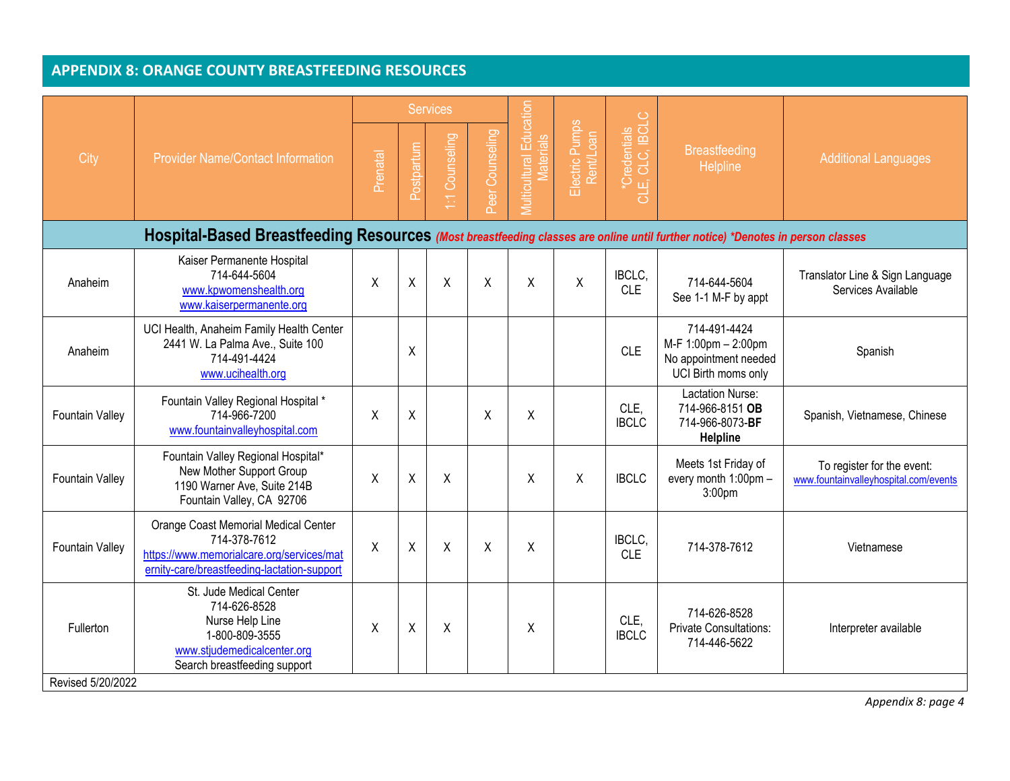| City                                                                                                                           | <b>Provider Name/Contact Information</b>                                                                                                         | Prenatal | Postpartum | <b>Services</b><br>Counseling<br>E | Peer Counseling | Vlulticultural Education<br>Materials | Electric Pumps<br>Rent/Loan | 'Credentials<br>E, CLC, IBCLC<br>ШÎ<br>ಕ | <b>Breastfeeding</b><br>Helpline                                                    | <b>Additional Languages</b>                                         |  |
|--------------------------------------------------------------------------------------------------------------------------------|--------------------------------------------------------------------------------------------------------------------------------------------------|----------|------------|------------------------------------|-----------------|---------------------------------------|-----------------------------|------------------------------------------|-------------------------------------------------------------------------------------|---------------------------------------------------------------------|--|
| Hospital-Based Breastfeeding Resources (Most breastfeeding classes are online until further notice) *Denotes in person classes |                                                                                                                                                  |          |            |                                    |                 |                                       |                             |                                          |                                                                                     |                                                                     |  |
| Anaheim                                                                                                                        | Kaiser Permanente Hospital<br>714-644-5604<br>www.kpwomenshealth.org<br>www.kaiserpermanente.org                                                 | X        | $\sf X$    | X                                  | X               | X                                     | X                           | IBCLC.<br><b>CLE</b>                     | 714-644-5604<br>See 1-1 M-F by appt                                                 | Translator Line & Sign Language<br>Services Available               |  |
| Anaheim                                                                                                                        | UCI Health, Anaheim Family Health Center<br>2441 W. La Palma Ave., Suite 100<br>714-491-4424<br>www.ucihealth.org                                |          | χ          |                                    |                 |                                       |                             | <b>CLE</b>                               | 714-491-4424<br>M-F 1:00pm - 2:00pm<br>No appointment needed<br>UCI Birth moms only | Spanish                                                             |  |
| <b>Fountain Valley</b>                                                                                                         | Fountain Valley Regional Hospital *<br>714-966-7200<br>www.fountainvalleyhospital.com                                                            | X        | Χ          |                                    | χ               | Χ                                     |                             | CLE.<br><b>IBCLC</b>                     | <b>Lactation Nurse:</b><br>714-966-8151 OB<br>714-966-8073-BF<br>Helpline           | Spanish, Vietnamese, Chinese                                        |  |
| <b>Fountain Valley</b>                                                                                                         | Fountain Valley Regional Hospital*<br>New Mother Support Group<br>1190 Warner Ave, Suite 214B<br>Fountain Valley, CA 92706                       | X        | X          | X                                  |                 | X                                     | X                           | <b>IBCLC</b>                             | Meets 1st Friday of<br>every month 1:00pm -<br>3:00 <sub>pm</sub>                   | To register for the event:<br>www.fountainvalleyhospital.com/events |  |
| <b>Fountain Valley</b>                                                                                                         | Orange Coast Memorial Medical Center<br>714-378-7612<br>https://www.memorialcare.org/services/mat<br>ernity-care/breastfeeding-lactation-support | X        | $\sf X$    | X                                  | X               | X                                     |                             | IBCLC.<br><b>CLE</b>                     | 714-378-7612                                                                        | Vietnamese                                                          |  |
| Fullerton<br>Revised 5/20/2022                                                                                                 | St. Jude Medical Center<br>714-626-8528<br>Nurse Help Line<br>1-800-809-3555<br>www.stjudemedicalcenter.org<br>Search breastfeeding support      | X        | $\sf X$    | X                                  |                 | Χ                                     |                             | CLE,<br><b>IBCLC</b>                     | 714-626-8528<br><b>Private Consultations:</b><br>714-446-5622                       | Interpreter available                                               |  |

*Appendix 8: page 4*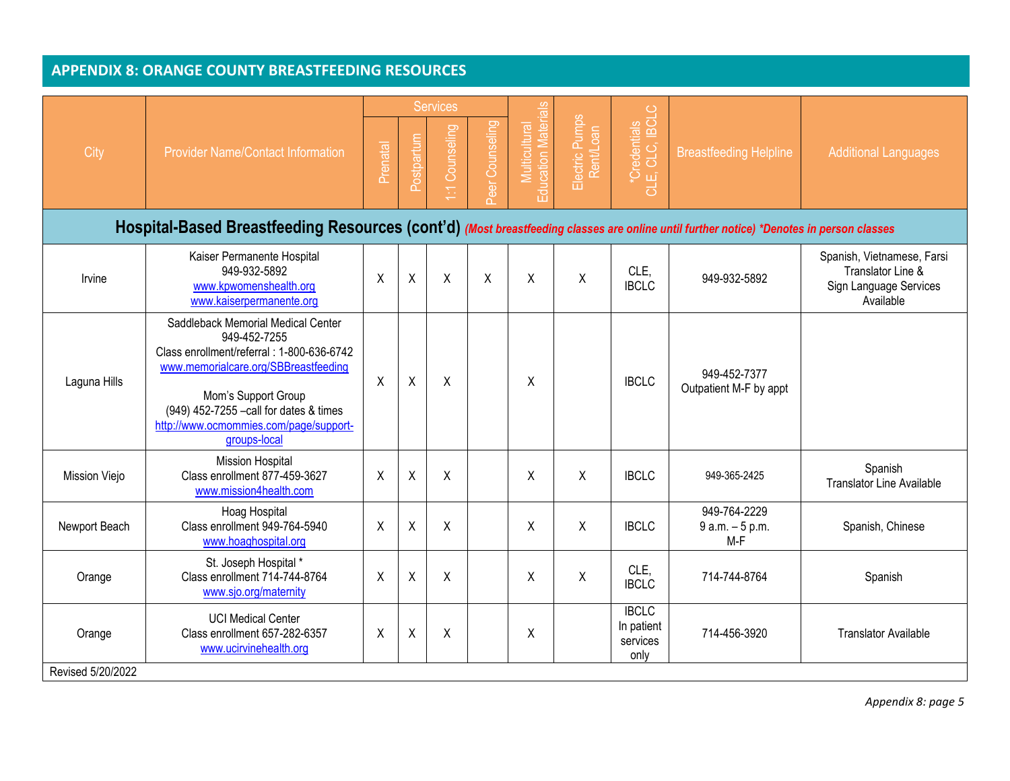|                                                                                                                                         |                                                                                                                                                                                                                                                                     |          |              | <b>Services</b>        |                 |                                             |                             |                                                |                                            |                                                                                        |  |
|-----------------------------------------------------------------------------------------------------------------------------------------|---------------------------------------------------------------------------------------------------------------------------------------------------------------------------------------------------------------------------------------------------------------------|----------|--------------|------------------------|-----------------|---------------------------------------------|-----------------------------|------------------------------------------------|--------------------------------------------|----------------------------------------------------------------------------------------|--|
| City                                                                                                                                    | <b>Provider Name/Contact Information</b>                                                                                                                                                                                                                            | Prenatal | Postpartum   | Counseling<br>$\Sigma$ | Peer Counseling | <b>Education Materials</b><br>Multicultural | Electric Pumps<br>Rent/Loan | *Credentials<br>LE, CLC, IBCLC<br>CLE,         | <b>Breastfeeding Helpline</b>              | <b>Additional Languages</b>                                                            |  |
| Hospital-Based Breastfeeding Resources (cont'd) (Most breastfeeding classes are online until further notice) *Denotes in person classes |                                                                                                                                                                                                                                                                     |          |              |                        |                 |                                             |                             |                                                |                                            |                                                                                        |  |
| Irvine                                                                                                                                  | Kaiser Permanente Hospital<br>949-932-5892<br>www.kpwomenshealth.org<br>www.kaiserpermanente.org                                                                                                                                                                    | $\sf X$  | $\pmb{\chi}$ | $\sf X$                | X               | Χ                                           | $\pmb{\mathsf{X}}$          | CLE.<br><b>IBCLC</b>                           | 949-932-5892                               | Spanish, Vietnamese, Farsi<br>Translator Line &<br>Sign Language Services<br>Available |  |
| Laguna Hills                                                                                                                            | Saddleback Memorial Medical Center<br>949-452-7255<br>Class enrollment/referral : 1-800-636-6742<br>www.memorialcare.org/SBBreastfeeding<br>Mom's Support Group<br>(949) 452-7255 -call for dates & times<br>http://www.ocmommies.com/page/support-<br>groups-local | X        | $\mathsf X$  | X                      |                 | Χ                                           |                             | <b>IBCLC</b>                                   | 949-452-7377<br>Outpatient M-F by appt     |                                                                                        |  |
| Mission Viejo                                                                                                                           | <b>Mission Hospital</b><br>Class enrollment 877-459-3627<br>www.mission4health.com                                                                                                                                                                                  | $\sf X$  | X            | X                      |                 | Χ                                           | Χ                           | <b>IBCLC</b>                                   | 949-365-2425                               | Spanish<br><b>Translator Line Available</b>                                            |  |
| Newport Beach                                                                                                                           | Hoag Hospital<br>Class enrollment 949-764-5940<br>www.hoaghospital.org                                                                                                                                                                                              | X        | X            | X                      |                 | Χ                                           | X                           | <b>IBCLC</b>                                   | 949-764-2229<br>$9 a.m. - 5 p.m.$<br>$M-F$ | Spanish, Chinese                                                                       |  |
| Orange                                                                                                                                  | St. Joseph Hospital *<br>Class enrollment 714-744-8764<br>www.sjo.org/maternity                                                                                                                                                                                     | X        | X            | Χ                      |                 | Χ                                           | Χ                           | CLE.<br><b>IBCLC</b>                           | 714-744-8764                               | Spanish                                                                                |  |
| Orange                                                                                                                                  | <b>UCI Medical Center</b><br>Class enrollment 657-282-6357<br>www.ucirvinehealth.org                                                                                                                                                                                | X        | X            | Χ                      |                 | Χ                                           |                             | <b>IBCLC</b><br>In patient<br>services<br>only | 714-456-3920                               | <b>Translator Available</b>                                                            |  |
| Revised 5/20/2022                                                                                                                       |                                                                                                                                                                                                                                                                     |          |              |                        |                 |                                             |                             |                                                |                                            |                                                                                        |  |